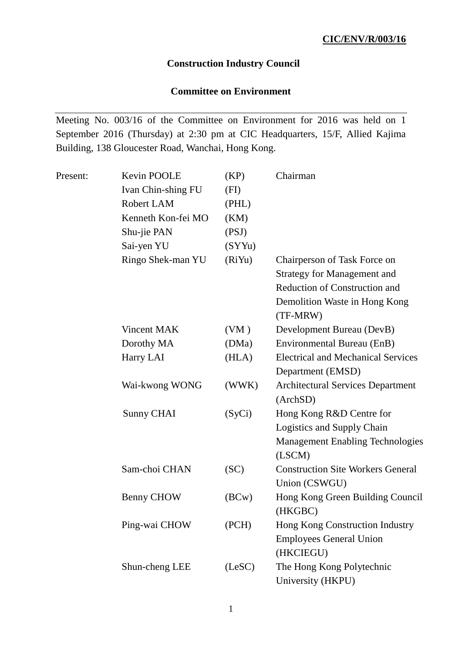## **Construction Industry Council**

## **Committee on Environment**

Meeting No. 003/16 of the Committee on Environment for 2016 was held on 1 September 2016 (Thursday) at 2:30 pm at CIC Headquarters, 15/F, Allied Kajima Building, 138 Gloucester Road, Wanchai, Hong Kong.

| Present: | Kevin POOLE        | (KP)   | Chairman                                  |
|----------|--------------------|--------|-------------------------------------------|
|          | Ivan Chin-shing FU | (FI)   |                                           |
|          | Robert LAM         | (PHL)  |                                           |
|          | Kenneth Kon-fei MO | (KM)   |                                           |
|          | Shu-jie PAN        | (PSJ)  |                                           |
|          | Sai-yen YU         | (SYYu) |                                           |
|          | Ringo Shek-man YU  | (RiYu) | Chairperson of Task Force on              |
|          |                    |        | <b>Strategy for Management and</b>        |
|          |                    |        | <b>Reduction of Construction and</b>      |
|          |                    |        | Demolition Waste in Hong Kong<br>(TF-MRW) |
|          | Vincent MAK        | (VM)   | Development Bureau (DevB)                 |
|          | Dorothy MA         | (DMa)  | Environmental Bureau (EnB)                |
|          | Harry LAI          | (HLA)  | <b>Electrical and Mechanical Services</b> |
|          |                    |        | Department (EMSD)                         |
|          | Wai-kwong WONG     | (WWK)  | <b>Architectural Services Department</b>  |
|          |                    |        | (ArchSD)                                  |
|          | Sunny CHAI         | (SyCi) | Hong Kong R&D Centre for                  |
|          |                    |        | Logistics and Supply Chain                |
|          |                    |        | <b>Management Enabling Technologies</b>   |
|          |                    |        | (LSCM)                                    |
|          | Sam-choi CHAN      | (SC)   | <b>Construction Site Workers General</b>  |
|          |                    |        | Union (CSWGU)                             |
|          | Benny CHOW         | (BCW)  | Hong Kong Green Building Council          |
|          |                    |        | (HKGBC)                                   |
|          | Ping-wai CHOW      | (PCH)  | Hong Kong Construction Industry           |
|          |                    |        | <b>Employees General Union</b>            |
|          |                    |        | (HKCIEGU)                                 |
|          | Shun-cheng LEE     | (LeSC) | The Hong Kong Polytechnic                 |
|          |                    |        | University (HKPU)                         |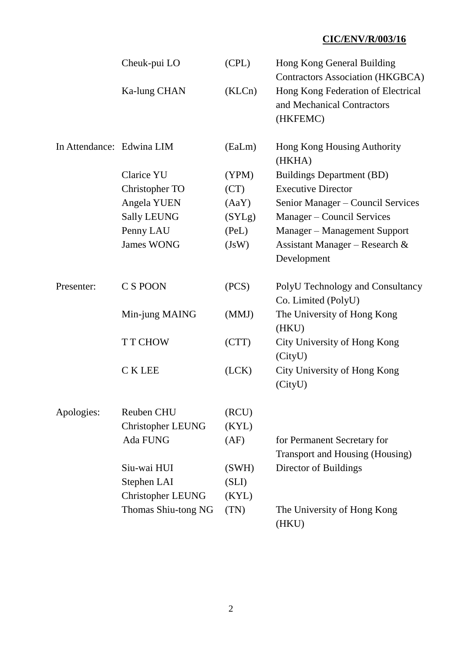|                           | Cheuk-pui LO             | (CPL)  | Hong Kong General Building<br><b>Contractors Association (HKGBCA)</b>        |
|---------------------------|--------------------------|--------|------------------------------------------------------------------------------|
|                           | Ka-lung CHAN             | (KLCn) | Hong Kong Federation of Electrical<br>and Mechanical Contractors<br>(HKFEMC) |
| In Attendance: Edwina LIM |                          | (EaLm) | Hong Kong Housing Authority<br>(HKHA)                                        |
|                           | <b>Clarice YU</b>        | (YPM)  | <b>Buildings Department (BD)</b>                                             |
|                           | Christopher TO           | (CT)   | <b>Executive Director</b>                                                    |
|                           | Angela YUEN              | (AaY)  | Senior Manager – Council Services                                            |
|                           | <b>Sally LEUNG</b>       | (SYLg) | Manager – Council Services                                                   |
|                           | Penny LAU                | (PeL)  | Manager - Management Support                                                 |
|                           | <b>James WONG</b>        | (JsW)  | Assistant Manager - Research &<br>Development                                |
| Presenter:                | C S POON                 | (PCS)  | PolyU Technology and Consultancy<br>Co. Limited (PolyU)                      |
|                           | Min-jung MAING           | (MMJ)  | The University of Hong Kong<br>(HKU)                                         |
|                           | <b>TT CHOW</b>           | (CTT)  | City University of Hong Kong<br>(CityU)                                      |
|                           | <b>CKLEE</b>             | (LCK)  | City University of Hong Kong<br>(CityU)                                      |
| Apologies:                | Reuben CHU               | (RCU)  |                                                                              |
|                           | <b>Christopher LEUNG</b> | (KYL)  |                                                                              |
|                           | <b>Ada FUNG</b>          | (AF)   | for Permanent Secretary for<br>Transport and Housing (Housing)               |
|                           | Siu-wai HUI              | (SWH)  | Director of Buildings                                                        |
|                           | Stephen LAI              | (SLI)  |                                                                              |
|                           | <b>Christopher LEUNG</b> | (KYL)  |                                                                              |
|                           | Thomas Shiu-tong NG      | (TN)   | The University of Hong Kong<br>(HKU)                                         |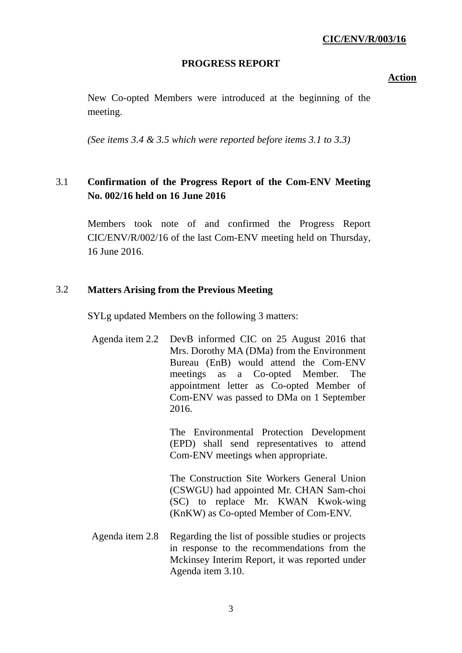#### **PROGRESS REPORT**

**Action**

New Co-opted Members were introduced at the beginning of the meeting.

*(See items 3.4 & 3.5 which were reported before items 3.1 to 3.3)*

# 3.1 **Confirmation of the Progress Report of the Com-ENV Meeting No. 002/16 held on 16 June 2016**

Members took note of and confirmed the Progress Report CIC/ENV/R/002/16 of the last Com-ENV meeting held on Thursday, 16 June 2016.

#### 3.2 **Matters Arising from the Previous Meeting**

SYLg updated Members on the following 3 matters:

Agenda item 2.2 DevB informed CIC on 25 August 2016 that Mrs. Dorothy MA (DMa) from the Environment Bureau (EnB) would attend the Com-ENV meetings as a Co-opted Member. The appointment letter as Co-opted Member of Com-ENV was passed to DMa on 1 September 2016.

> The Environmental Protection Development (EPD) shall send representatives to attend Com-ENV meetings when appropriate.

> The Construction Site Workers General Union (CSWGU) had appointed Mr. CHAN Sam-choi (SC) to replace Mr. KWAN Kwok-wing (KnKW) as Co-opted Member of Com-ENV.

Agenda item 2.8 Regarding the list of possible studies or projects in response to the recommendations from the Mckinsey Interim Report, it was reported under Agenda item 3.10.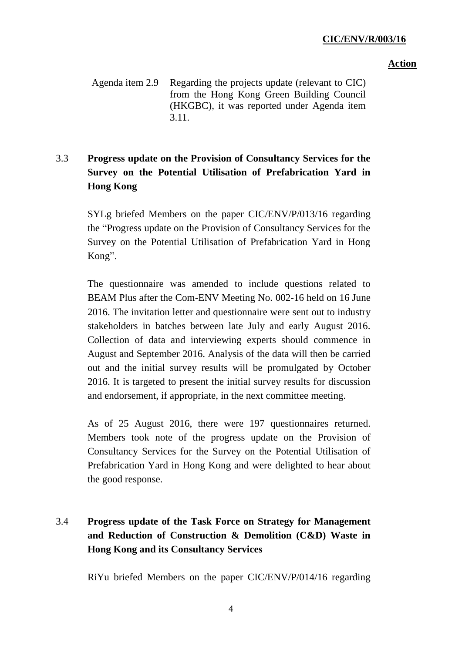### **Action**

Agenda item 2.9 Regarding the projects update (relevant to CIC) from the Hong Kong Green Building Council (HKGBC), it was reported under Agenda item 3.11.

# 3.3 **Progress update on the Provision of Consultancy Services for the Survey on the Potential Utilisation of Prefabrication Yard in Hong Kong**

SYLg briefed Members on the paper CIC/ENV/P/013/16 regarding the "Progress update on the Provision of Consultancy Services for the Survey on the Potential Utilisation of Prefabrication Yard in Hong Kong".

The questionnaire was amended to include questions related to BEAM Plus after the Com-ENV Meeting No. 002-16 held on 16 June 2016. The invitation letter and questionnaire were sent out to industry stakeholders in batches between late July and early August 2016. Collection of data and interviewing experts should commence in August and September 2016. Analysis of the data will then be carried out and the initial survey results will be promulgated by October 2016. It is targeted to present the initial survey results for discussion and endorsement, if appropriate, in the next committee meeting.

As of 25 August 2016, there were 197 questionnaires returned. Members took note of the progress update on the Provision of Consultancy Services for the Survey on the Potential Utilisation of Prefabrication Yard in Hong Kong and were delighted to hear about the good response.

# 3.4 **Progress update of the Task Force on Strategy for Management and Reduction of Construction & Demolition (C&D) Waste in Hong Kong and its Consultancy Services**

RiYu briefed Members on the paper CIC/ENV/P/014/16 regarding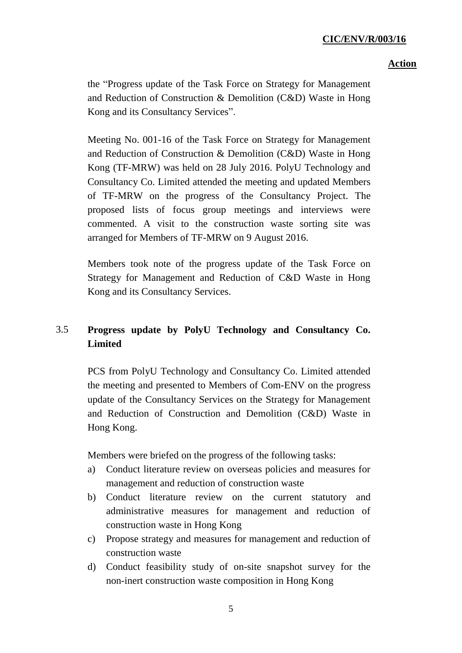### **Action**

the "Progress update of the Task Force on Strategy for Management and Reduction of Construction & Demolition (C&D) Waste in Hong Kong and its Consultancy Services".

Meeting No. 001-16 of the Task Force on Strategy for Management and Reduction of Construction & Demolition (C&D) Waste in Hong Kong (TF-MRW) was held on 28 July 2016. PolyU Technology and Consultancy Co. Limited attended the meeting and updated Members of TF-MRW on the progress of the Consultancy Project. The proposed lists of focus group meetings and interviews were commented. A visit to the construction waste sorting site was arranged for Members of TF-MRW on 9 August 2016.

Members took note of the progress update of the Task Force on Strategy for Management and Reduction of C&D Waste in Hong Kong and its Consultancy Services.

# 3.5 **Progress update by PolyU Technology and Consultancy Co. Limited**

PCS from PolyU Technology and Consultancy Co. Limited attended the meeting and presented to Members of Com-ENV on the progress update of the Consultancy Services on the Strategy for Management and Reduction of Construction and Demolition (C&D) Waste in Hong Kong.

Members were briefed on the progress of the following tasks:

- a) Conduct literature review on overseas policies and measures for management and reduction of construction waste
- b) Conduct literature review on the current statutory and administrative measures for management and reduction of construction waste in Hong Kong
- c) Propose strategy and measures for management and reduction of construction waste
- d) Conduct feasibility study of on-site snapshot survey for the non-inert construction waste composition in Hong Kong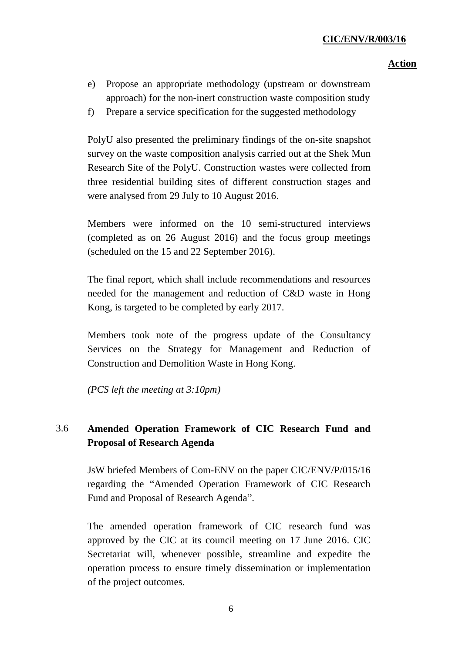### **Action**

- e) Propose an appropriate methodology (upstream or downstream approach) for the non-inert construction waste composition study
- f) Prepare a service specification for the suggested methodology

PolyU also presented the preliminary findings of the on-site snapshot survey on the waste composition analysis carried out at the Shek Mun Research Site of the PolyU. Construction wastes were collected from three residential building sites of different construction stages and were analysed from 29 July to 10 August 2016.

Members were informed on the 10 semi-structured interviews (completed as on 26 August 2016) and the focus group meetings (scheduled on the 15 and 22 September 2016).

The final report, which shall include recommendations and resources needed for the management and reduction of C&D waste in Hong Kong, is targeted to be completed by early 2017.

Members took note of the progress update of the Consultancy Services on the Strategy for Management and Reduction of Construction and Demolition Waste in Hong Kong.

*(PCS left the meeting at 3:10pm)*

# 3.6 **Amended Operation Framework of CIC Research Fund and Proposal of Research Agenda**

JsW briefed Members of Com-ENV on the paper CIC/ENV/P/015/16 regarding the "Amended Operation Framework of CIC Research Fund and Proposal of Research Agenda".

The amended operation framework of CIC research fund was approved by the CIC at its council meeting on 17 June 2016. CIC Secretariat will, whenever possible, streamline and expedite the operation process to ensure timely dissemination or implementation of the project outcomes.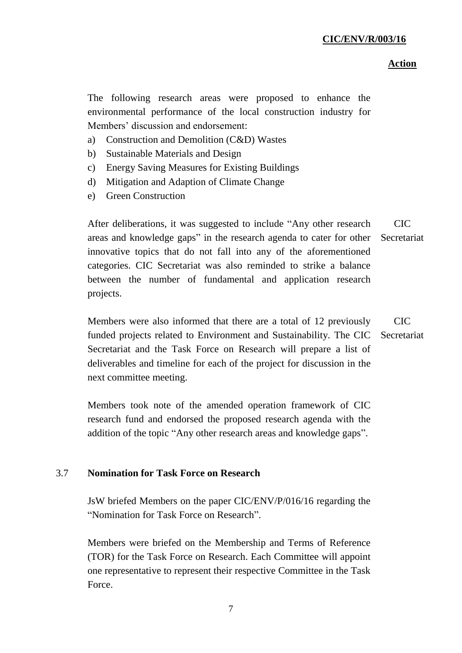### **Action**

The following research areas were proposed to enhance the environmental performance of the local construction industry for Members' discussion and endorsement:

- a) Construction and Demolition (C&D) Wastes
- b) Sustainable Materials and Design
- c) Energy Saving Measures for Existing Buildings
- d) Mitigation and Adaption of Climate Change
- e) Green Construction

After deliberations, it was suggested to include "Any other research areas and knowledge gaps" in the research agenda to cater for other innovative topics that do not fall into any of the aforementioned categories. CIC Secretariat was also reminded to strike a balance between the number of fundamental and application research projects. CIC Secretariat

Members were also informed that there are a total of 12 previously funded projects related to Environment and Sustainability. The CIC Secretariat and the Task Force on Research will prepare a list of deliverables and timeline for each of the project for discussion in the next committee meeting.  $CIC$ Secretariat

Members took note of the amended operation framework of CIC research fund and endorsed the proposed research agenda with the addition of the topic "Any other research areas and knowledge gaps".

#### 3.7 **Nomination for Task Force on Research**

JsW briefed Members on the paper CIC/ENV/P/016/16 regarding the "Nomination for Task Force on Research".

Members were briefed on the Membership and Terms of Reference (TOR) for the Task Force on Research. Each Committee will appoint one representative to represent their respective Committee in the Task Force.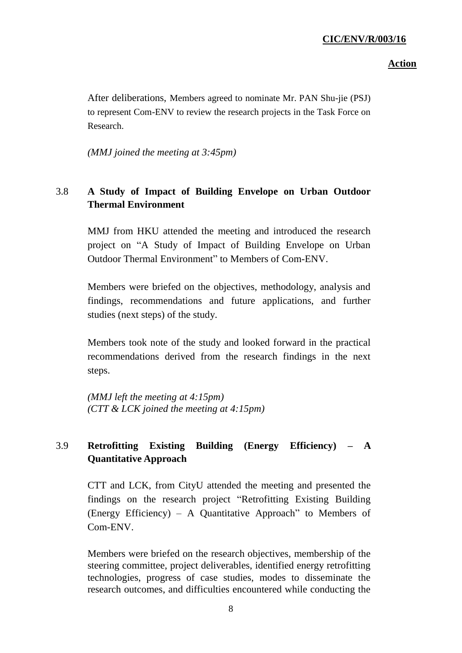## **Action**

After deliberations, Members agreed to nominate Mr. PAN Shu-jie (PSJ) to represent Com-ENV to review the research projects in the Task Force on Research.

*(MMJ joined the meeting at 3:45pm)*

## 3.8 **A Study of Impact of Building Envelope on Urban Outdoor Thermal Environment**

MMJ from HKU attended the meeting and introduced the research project on "A Study of Impact of Building Envelope on Urban Outdoor Thermal Environment" to Members of Com-ENV.

Members were briefed on the objectives, methodology, analysis and findings, recommendations and future applications, and further studies (next steps) of the study.

Members took note of the study and looked forward in the practical recommendations derived from the research findings in the next steps.

*(MMJ left the meeting at 4:15pm) (CTT & LCK joined the meeting at 4:15pm)*

# 3.9 **Retrofitting Existing Building (Energy Efficiency) – A Quantitative Approach**

CTT and LCK, from CityU attended the meeting and presented the findings on the research project "Retrofitting Existing Building (Energy Efficiency) – A Quantitative Approach" to Members of Com-ENV.

Members were briefed on the research objectives, membership of the steering committee, project deliverables, identified energy retrofitting technologies, progress of case studies, modes to disseminate the research outcomes, and difficulties encountered while conducting the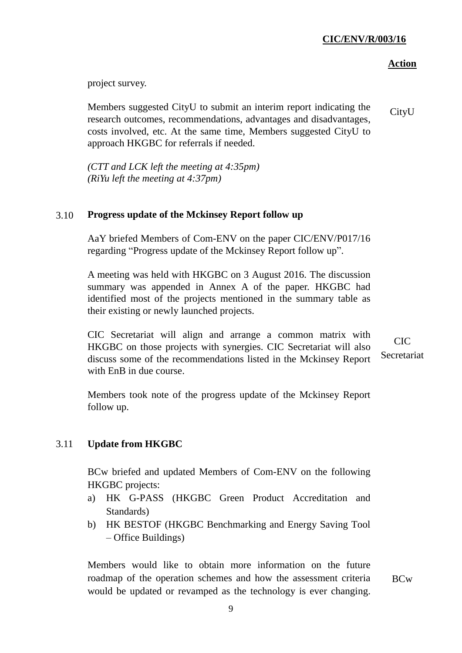## **Action**

project survey.

Members suggested CityU to submit an interim report indicating the research outcomes, recommendations, advantages and disadvantages, costs involved, etc. At the same time, Members suggested CityU to approach HKGBC for referrals if needed. CityU

*(CTT and LCK left the meeting at 4:35pm) (RiYu left the meeting at 4:37pm)*

#### 3.10 **Progress update of the Mckinsey Report follow up**

AaY briefed Members of Com-ENV on the paper CIC/ENV/P017/16 regarding "Progress update of the Mckinsey Report follow up".

A meeting was held with HKGBC on 3 August 2016. The discussion summary was appended in Annex A of the paper. HKGBC had identified most of the projects mentioned in the summary table as their existing or newly launched projects.

CIC Secretariat will align and arrange a common matrix with HKGBC on those projects with synergies. CIC Secretariat will also discuss some of the recommendations listed in the Mckinsey Report with EnB in due course.

 $CIC$ Secretariat

Members took note of the progress update of the Mckinsey Report follow up.

#### 3.11 **Update from HKGBC**

BCw briefed and updated Members of Com-ENV on the following HKGBC projects:

- a) HK G-PASS (HKGBC Green Product Accreditation and Standards)
- b) HK BESTOF (HKGBC Benchmarking and Energy Saving Tool – Office Buildings)

Members would like to obtain more information on the future roadmap of the operation schemes and how the assessment criteria would be updated or revamped as the technology is ever changing.

BCw